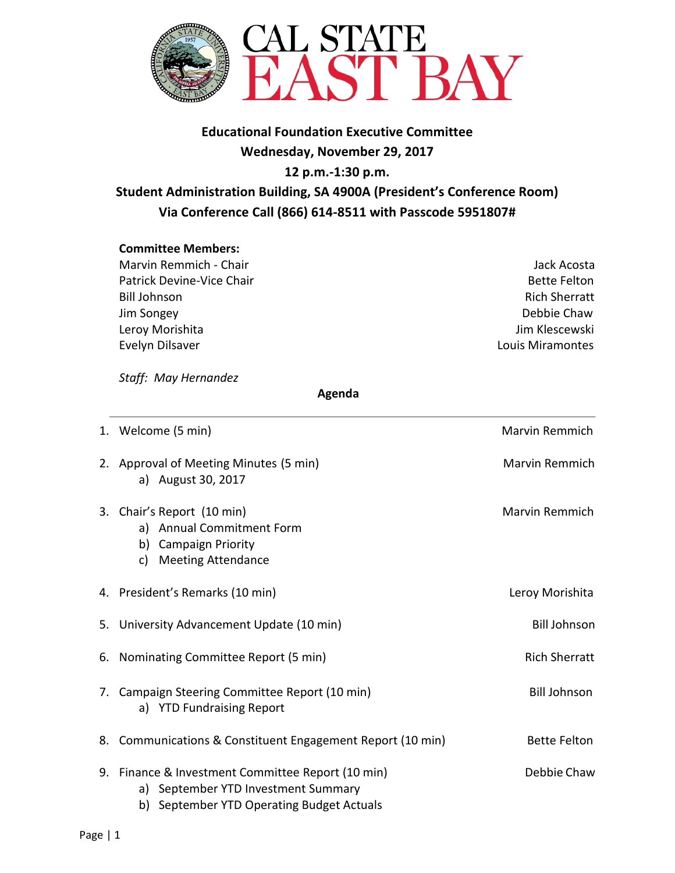

## **Educational Foundation Executive Committee Wednesday, November 29, 2017 12 p.m.-1:30 p.m.**

# **Student Administration Building, SA 4900A (President's Conference Room) Via Conference Call (866) 614-8511 with Passcode 5951807#**

### **Committee Members:**

Marvin Remmich - Chair Jack Acosta Patrick Devine-Vice Chair **Bette Felton Bette Felton** Bill Johnson Rich Sherratt Jim Songey Debbie Chaw Leroy Morishita **Jim Klescewski** Evelyn Dilsaver Louis Miramontes

*Staff: May Hernandez* 

#### **Agenda**

| 1. Welcome (5 min)                                                                                                                    | <b>Marvin Remmich</b> |
|---------------------------------------------------------------------------------------------------------------------------------------|-----------------------|
| 2. Approval of Meeting Minutes (5 min)<br>a) August 30, 2017                                                                          | <b>Marvin Remmich</b> |
| 3. Chair's Report (10 min)<br>a) Annual Commitment Form<br>b) Campaign Priority<br>c) Meeting Attendance                              | <b>Marvin Remmich</b> |
| 4. President's Remarks (10 min)                                                                                                       | Leroy Morishita       |
| 5. University Advancement Update (10 min)                                                                                             | <b>Bill Johnson</b>   |
| 6. Nominating Committee Report (5 min)                                                                                                | <b>Rich Sherratt</b>  |
| 7. Campaign Steering Committee Report (10 min)<br>a) YTD Fundraising Report                                                           | <b>Bill Johnson</b>   |
| 8. Communications & Constituent Engagement Report (10 min)                                                                            | <b>Bette Felton</b>   |
| 9. Finance & Investment Committee Report (10 min)<br>a) September YTD Investment Summary<br>b) September YTD Operating Budget Actuals | Debbie Chaw           |